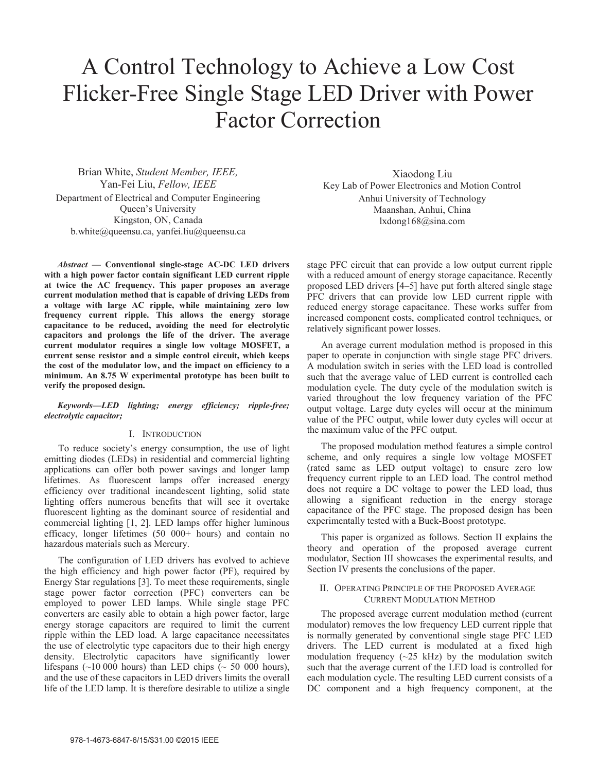# A Control Technology to Achieve a Low Cost Flicker-Free Single Stage LED Driver with Power Factor Correction

Brian White, *Student Member, IEEE,* Yan-Fei Liu, *Fellow, IEEE* Department of Electrical and Computer Engineering Queen's University Kingston, ON, Canada b.white@queensu.ca, yanfei.liu@queensu.ca

*Abstract* **— Conventional single-stage AC-DC LED drivers with a high power factor contain significant LED current ripple at twice the AC frequency. This paper proposes an average current modulation method that is capable of driving LEDs from a voltage with large AC ripple, while maintaining zero low frequency current ripple. This allows the energy storage capacitance to be reduced, avoiding the need for electrolytic capacitors and prolongs the life of the driver. The average current modulator requires a single low voltage MOSFET, a current sense resistor and a simple control circuit, which keeps the cost of the modulator low, and the impact on efficiency to a minimum. An 8.75 W experimental prototype has been built to verify the proposed design.**

*Keywords—LED lighting; energy efficiency; ripple-free; electrolytic capacitor;*

## I. INTRODUCTION

To reduce society's energy consumption, the use of light emitting diodes (LEDs) in residential and commercial lighting applications can offer both power savings and longer lamp lifetimes. As fluorescent lamps offer increased energy efficiency over traditional incandescent lighting, solid state lighting offers numerous benefits that will see it overtake fluorescent lighting as the dominant source of residential and commercial lighting [1, 2]. LED lamps offer higher luminous efficacy, longer lifetimes (50 000+ hours) and contain no hazardous materials such as Mercury.

The configuration of LED drivers has evolved to achieve the high efficiency and high power factor (PF), required by Energy Star regulations [3]. To meet these requirements, single stage power factor correction (PFC) converters can be employed to power LED lamps. While single stage PFC converters are easily able to obtain a high power factor, large energy storage capacitors are required to limit the current ripple within the LED load. A large capacitance necessitates the use of electrolytic type capacitors due to their high energy density. Electrolytic capacitors have significantly lower lifespans (~10 000 hours) than LED chips (~ 50 000 hours), and the use of these capacitors in LED drivers limits the overall life of the LED lamp. It is therefore desirable to utilize a single

Xiaodong Liu Key Lab of Power Electronics and Motion Control Anhui University of Technology Maanshan, Anhui, China lxdong168@sina.com

stage PFC circuit that can provide a low output current ripple with a reduced amount of energy storage capacitance. Recently proposed LED drivers [4–5] have put forth altered single stage PFC drivers that can provide low LED current ripple with reduced energy storage capacitance. These works suffer from increased component costs, complicated control techniques, or relatively significant power losses.

An average current modulation method is proposed in this paper to operate in conjunction with single stage PFC drivers. A modulation switch in series with the LED load is controlled such that the average value of LED current is controlled each modulation cycle. The duty cycle of the modulation switch is varied throughout the low frequency variation of the PFC output voltage. Large duty cycles will occur at the minimum value of the PFC output, while lower duty cycles will occur at the maximum value of the PFC output.

The proposed modulation method features a simple control scheme, and only requires a single low voltage MOSFET (rated same as LED output voltage) to ensure zero low frequency current ripple to an LED load. The control method does not require a DC voltage to power the LED load, thus allowing a significant reduction in the energy storage capacitance of the PFC stage. The proposed design has been experimentally tested with a Buck-Boost prototype.

This paper is organized as follows. Section II explains the theory and operation of the proposed average current modulator, Section III showcases the experimental results, and Section IV presents the conclusions of the paper.

#### II. OPERATING PRINCIPLE OF THE PROPOSED AVERAGE CURRENT MODULATION METHOD

The proposed average current modulation method (current modulator) removes the low frequency LED current ripple that is normally generated by conventional single stage PFC LED drivers. The LED current is modulated at a fixed high modulation frequency  $(\sim 25 \text{ kHz})$  by the modulation switch such that the average current of the LED load is controlled for each modulation cycle. The resulting LED current consists of a DC component and a high frequency component, at the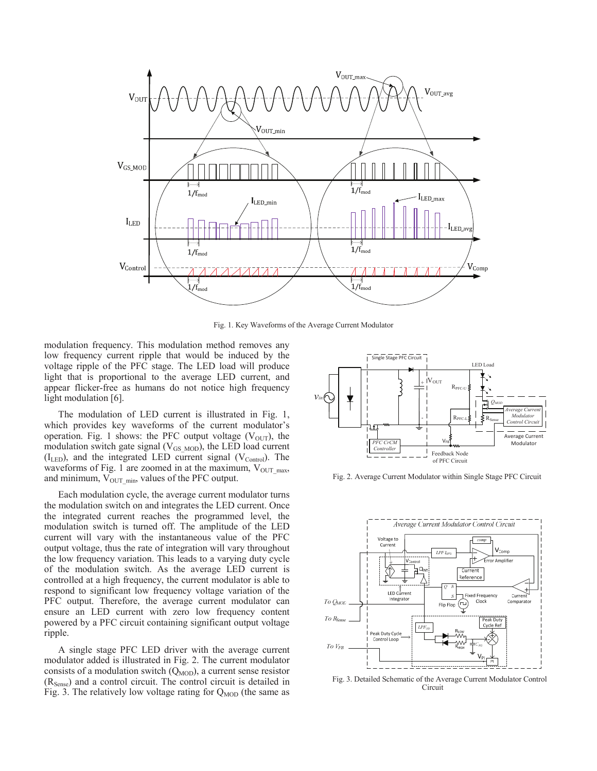

Fig. 1. Key Waveforms of the Average Current Modulator

modulation frequency. This modulation method removes any low frequency current ripple that would be induced by the voltage ripple of the PFC stage. The LED load will produce light that is proportional to the average LED current, and appear flicker-free as humans do not notice high frequency light modulation [6].

The modulation of LED current is illustrated in Fig. 1, which provides key waveforms of the current modulator's operation. Fig. 1 shows: the PFC output voltage  $(V<sub>OUT</sub>)$ , the modulation switch gate signal ( $V_{GS_{\text{MOD}}}$ ), the LED load current  $(I_{LED})$ , and the integrated LED current signal  $(V_{Control})$ . The waveforms of Fig. 1 are zoomed in at the maximum,  $V_{OUTmax}$ , and minimum,  $V_{OUT,min}$ , values of the PFC output.

Each modulation cycle, the average current modulator turns the modulation switch on and integrates the LED current. Once the integrated current reaches the programmed level, the modulation switch is turned off. The amplitude of the LED current will vary with the instantaneous value of the PFC output voltage, thus the rate of integration will vary throughout the low frequency variation. This leads to a varying duty cycle of the modulation switch. As the average LED current is controlled at a high frequency, the current modulator is able to respond to significant low frequency voltage variation of the PFC output. Therefore, the average current modulator can ensure an LED current with zero low frequency content powered by a PFC circuit containing significant output voltage ripple.

A single stage PFC LED driver with the average current modulator added is illustrated in Fig. 2. The current modulator consists of a modulation switch  $(Q<sub>MOD</sub>)$ , a current sense resistor (R<sub>Sense</sub>) and a control circuit. The control circuit is detailed in Fig. 3. The relatively low voltage rating for  $Q_{MOD}$  (the same as



Fig. 2. Average Current Modulator within Single Stage PFC Circuit



Fig. 3. Detailed Schematic of the Average Current Modulator Control Circuit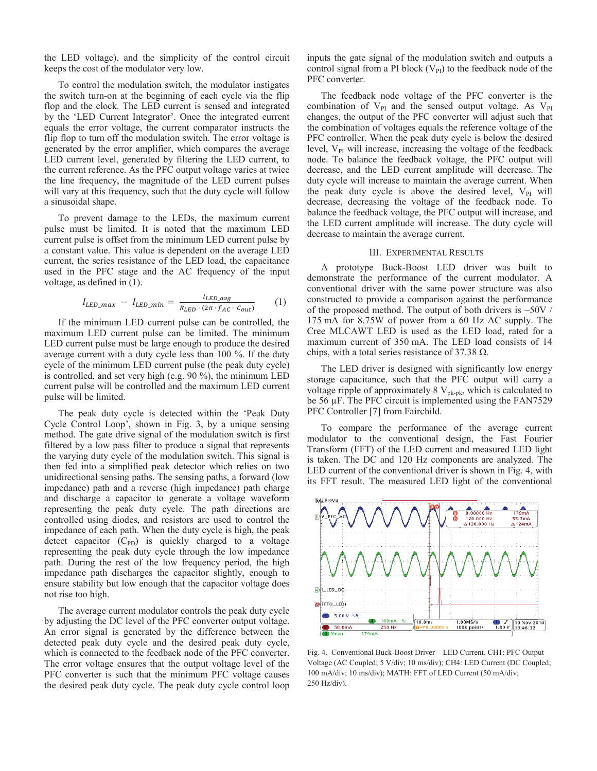the LED voltage), and the simplicity of the control circuit keeps the cost of the modulator very low.

To control the modulation switch, the modulator instigates the switch turn-on at the beginning of each cycle via the flip flop and the clock. The LED current is sensed and integrated by the 'LED Current Integrator'. Once the integrated current equals the error voltage, the current comparator instructs the flip flop to turn off the modulation switch. The error voltage is generated by the error amplifier, which compares the average LED current level, generated by filtering the LED current, to the current reference. As the PFC output voltage varies at twice the line frequency, the magnitude of the LED current pulses will vary at this frequency, such that the duty cycle will follow a sinusoidal shape.

To prevent damage to the LEDs, the maximum current pulse must be limited. It is noted that the maximum LED current pulse is offset from the minimum LED current pulse by a constant value. This value is dependent on the average LED current, the series resistance of the LED load, the capacitance used in the PFC stage and the AC frequency of the input voltage, as defined in (1).

$$
I_{LED\_max} - I_{LED\_min} = \frac{I_{LED\_avg}}{R_{LED} \cdot (2\pi \cdot f_{AC} \cdot c_{out})}
$$
 (1)

If the minimum LED current pulse can be controlled, the maximum LED current pulse can be limited. The minimum LED current pulse must be large enough to produce the desired average current with a duty cycle less than 100 %. If the duty cycle of the minimum LED current pulse (the peak duty cycle) is controlled, and set very high (e.g. 90 %), the minimum LED current pulse will be controlled and the maximum LED current pulse will be limited.

The peak duty cycle is detected within the 'Peak Duty Cycle Control Loop', shown in Fig. 3, by a unique sensing method. The gate drive signal of the modulation switch is first filtered by a low pass filter to produce a signal that represents the varying duty cycle of the modulation switch. This signal is then fed into a simplified peak detector which relies on two unidirectional sensing paths. The sensing paths, a forward (low impedance) path and a reverse (high impedance) path charge and discharge a capacitor to generate a voltage waveform representing the peak duty cycle. The path directions are controlled using diodes, and resistors are used to control the impedance of each path. When the duty cycle is high, the peak detect capacitor  $(C_{PD})$  is quickly charged to a voltage representing the peak duty cycle through the low impedance path. During the rest of the low frequency period, the high impedance path discharges the capacitor slightly, enough to ensure stability but low enough that the capacitor voltage does not rise too high.

The average current modulator controls the peak duty cycle by adjusting the DC level of the PFC converter output voltage. An error signal is generated by the difference between the detected peak duty cycle and the desired peak duty cycle, which is connected to the feedback node of the PFC converter. The error voltage ensures that the output voltage level of the PFC converter is such that the minimum PFC voltage causes the desired peak duty cycle. The peak duty cycle control loop

inputs the gate signal of the modulation switch and outputs a control signal from a PI block  $(V_{PI})$  to the feedback node of the PFC converter.

The feedback node voltage of the PFC converter is the combination of  $V_{PI}$  and the sensed output voltage. As  $V_{PI}$ changes, the output of the PFC converter will adjust such that the combination of voltages equals the reference voltage of the PFC controller. When the peak duty cycle is below the desired level,  $V_{PI}$  will increase, increasing the voltage of the feedback node. To balance the feedback voltage, the PFC output will decrease, and the LED current amplitude will decrease. The duty cycle will increase to maintain the average current. When the peak duty cycle is above the desired level,  $V_{PI}$  will decrease, decreasing the voltage of the feedback node. To balance the feedback voltage, the PFC output will increase, and the LED current amplitude will increase. The duty cycle will decrease to maintain the average current.

## III. EXPERIMENTAL RESULTS

A prototype Buck-Boost LED driver was built to demonstrate the performance of the current modulator. A conventional driver with the same power structure was also constructed to provide a comparison against the performance of the proposed method. The output of both drivers is  $\sim$ 50V / 175 mA for 8.75W of power from a 60 Hz AC supply. The Cree MLCAWT LED is used as the LED load, rated for a maximum current of 350 mA. The LED load consists of 14 chips, with a total series resistance of 37.38  $\Omega$ .

The LED driver is designed with significantly low energy storage capacitance, such that the PFC output will carry a voltage ripple of approximately 8  $V_{pk-pk}$ , which is calculated to be 56 μF. The PFC circuit is implemented using the FAN7529 PFC Controller [7] from Fairchild.

 To compare the performance of the average current modulator to the conventional design, the Fast Fourier Transform (FFT) of the LED current and measured LED light is taken. The DC and 120 Hz components are analyzed. The LED current of the conventional driver is shown in Fig. 4, with its FFT result. The measured LED light of the conventional



Fig. 4. Conventional Buck-Boost Driver – LED Current. CH1: PFC Output Voltage (AC Coupled; 5 V/div; 10 ms/div); CH4: LED Current (DC Coupled; 100 mA/div; 10 ms/div); MATH: FFT of LED Current (50 mA/div; 250 Hz/div).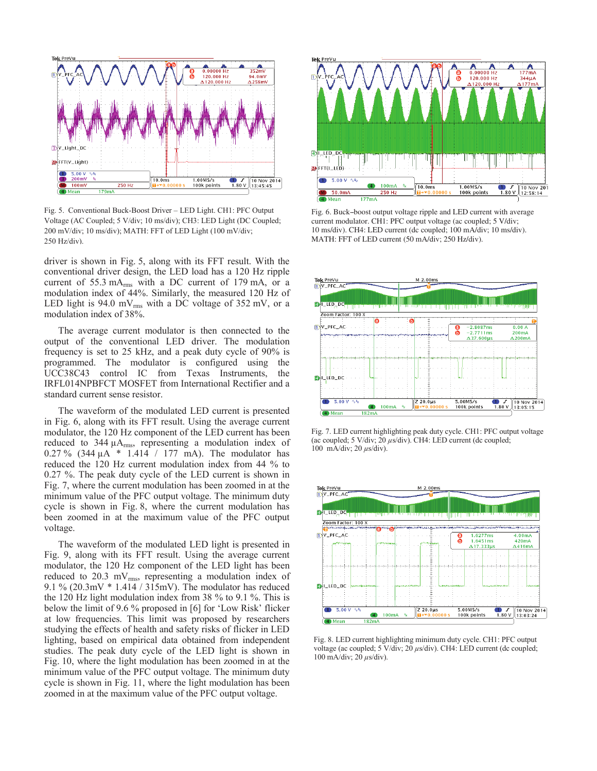

Fig. 5. Conventional Buck-Boost Driver – LED Light. CH1: PFC Output Voltage (AC Coupled; 5 V/div; 10 ms/div); CH3: LED Light (DC Coupled; 200 mV/div; 10 ms/div); MATH: FFT of LED Light (100 mV/div; 250 Hz/div).

driver is shown in Fig. 5, along with its FFT result. With the conventional driver design, the LED load has a 120 Hz ripple current of 55.3 mA<sub>rms</sub> with a DC current of 179 mA, or a modulation index of 44%. Similarly, the measured 120 Hz of LED light is  $94.0$  mV<sub>rms</sub> with a DC voltage of  $352$  mV, or a modulation index of 38%.

The average current modulator is then connected to the output of the conventional LED driver. The modulation frequency is set to 25 kHz, and a peak duty cycle of 90% is programmed. The modulator is configured using the UCC38C43 control IC from Texas Instruments, the IRFL014NPBFCT MOSFET from International Rectifier and a standard current sense resistor.

The waveform of the modulated LED current is presented in Fig. 6, along with its FFT result. Using the average current modulator, the 120 Hz component of the LED current has been reduced to 344  $\mu A$ <sub>rms</sub>, representing a modulation index of 0.27 % (344 μA \* 1.414 / 177 mA). The modulator has reduced the 120 Hz current modulation index from 44 % to 0.27 %. The peak duty cycle of the LED current is shown in Fig. 7, where the current modulation has been zoomed in at the minimum value of the PFC output voltage. The minimum duty cycle is shown in Fig. 8, where the current modulation has been zoomed in at the maximum value of the PFC output voltage.

The waveform of the modulated LED light is presented in Fig. 9, along with its FFT result. Using the average current modulator, the 120 Hz component of the LED light has been reduced to 20.3 mV $_{rms}$ , representing a modulation index of 9.1 % (20.3mV \* 1.414 / 315mV). The modulator has reduced the 120 Hz light modulation index from 38 % to 9.1 %. This is below the limit of 9.6 % proposed in [6] for 'Low Risk' flicker at low frequencies. This limit was proposed by researchers studying the effects of health and safety risks of flicker in LED lighting, based on empirical data obtained from independent studies. The peak duty cycle of the LED light is shown in Fig. 10, where the light modulation has been zoomed in at the minimum value of the PFC output voltage. The minimum duty cycle is shown in Fig. 11, where the light modulation has been zoomed in at the maximum value of the PFC output voltage.



Fig. 6. Buck--boost output voltage ripple and LED current with average current modulator. CH1: PFC output voltage (ac coupled; 5 V/div; 10 ms/div). CH4: LED current (dc coupled; 100 mA/div; 10 ms/div). MATH: FFT of LED current (50 mA/div; 250 Hz/div).



Fig. 7. LED current highlighting peak duty cycle. CH1: PFC output voltage (ac coupled; 5 V/div; 20 *μ*s/div). CH4: LED current (dc coupled; 100 mA/div; 20 *μ*s/div).



Fig. 8. LED current highlighting minimum duty cycle. CH1: PFC output voltage (ac coupled; 5 V/div; 20 *μ*s/div). CH4: LED current (dc coupled; 100 mA/div; 20 *μ*s/div).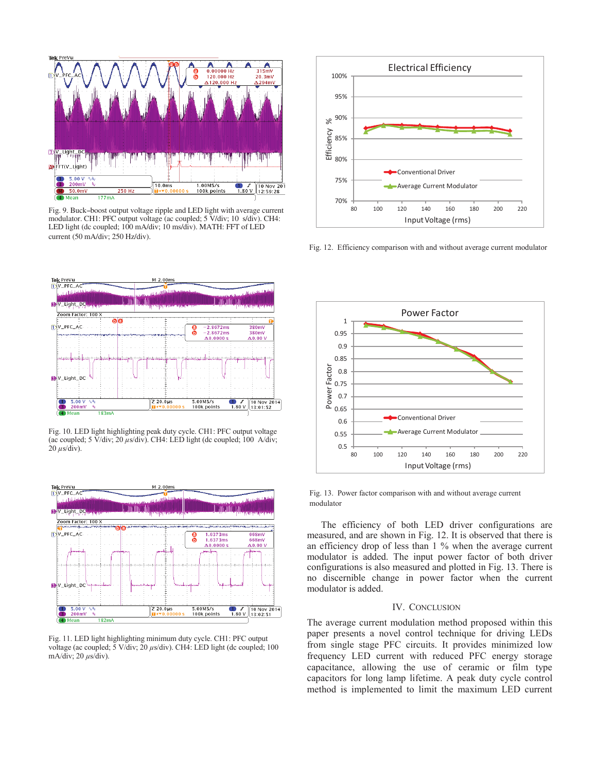

Fig. 9. Buck-boost output voltage ripple and LED light with average current modulator. CH1: PFC output voltage (ac coupled; 5 V/div; 10 s/div). CH4: LED light (dc coupled; 100 mA/div; 10 ms/div). MATH: FFT of LED current (50 mA/div; 250 Hz/div).



Fig. 10. LED light highlighting peak duty cycle. CH1: PFC output voltage (ac coupled; 5 V/div; 20 *μ*s/div). CH4: LED light (dc coupled; 100 A/div;  $20 \mu s$ s/div).



Fig. 11. LED light highlighting minimum duty cycle. CH1: PFC output voltage (ac coupled; 5 V/div; 20 *μ*s/div). CH4: LED light (dc coupled; 100 mA/div; 20 *μ*s/div).



Fig. 12. Efficiency comparison with and without average current modulator



Fig. 13. Power factor comparison with and without average current modulator

The efficiency of both LED driver configurations are measured, and are shown in Fig. 12. It is observed that there is an efficiency drop of less than 1 % when the average current modulator is added. The input power factor of both driver configurations is also measured and plotted in Fig. 13. There is no discernible change in power factor when the current modulator is added.

# IV. CONCLUSION

The average current modulation method proposed within this paper presents a novel control technique for driving LEDs from single stage PFC circuits. It provides minimized low frequency LED current with reduced PFC energy storage capacitance, allowing the use of ceramic or film type capacitors for long lamp lifetime. A peak duty cycle control method is implemented to limit the maximum LED current